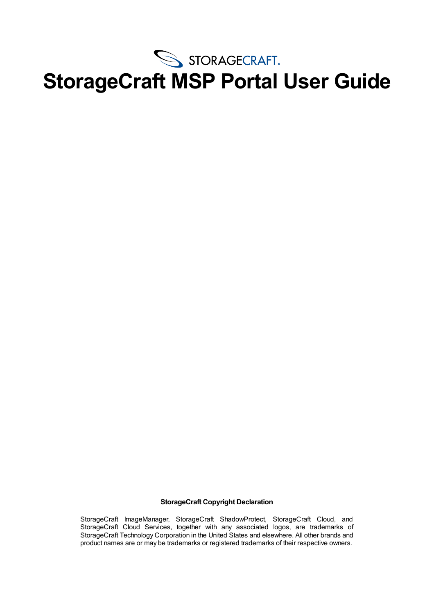

#### **StorageCraft Copyright Declaration**

StorageCraft ImageManager, StorageCraft ShadowProtect, StorageCraft Cloud, and StorageCraft Cloud Services, together with any associated logos, are trademarks of StorageCraft Technology Corporation in the United States and elsewhere. All other brands and product names are or may be trademarks or registered trademarks of their respective owners.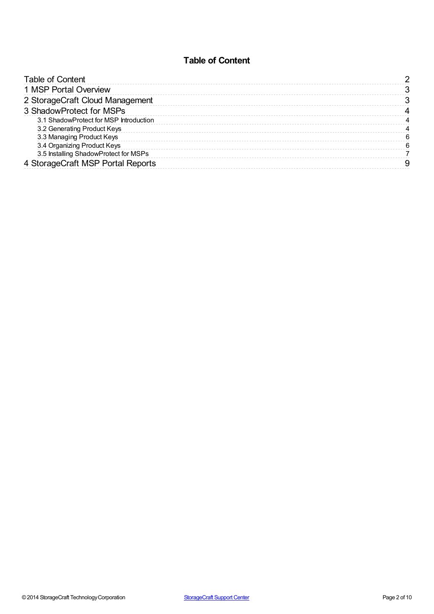### **Table of Content**

<span id="page-1-0"></span>

| Table of Content                       |  |
|----------------------------------------|--|
| 1 MSP Portal Overview                  |  |
| 2 StorageCraft Cloud Management        |  |
| 3 ShadowProtect for MSPs               |  |
| 3.1 ShadowProtect for MSP Introduction |  |
| 3.2 Generating Product Keys            |  |
| 3.3 Managing Product Keys              |  |
| 3.4 Organizing Product Keys            |  |
| 3.5 Installing ShadowProtect for MSPs  |  |
| 4 StorageCraft MSP Portal Reports      |  |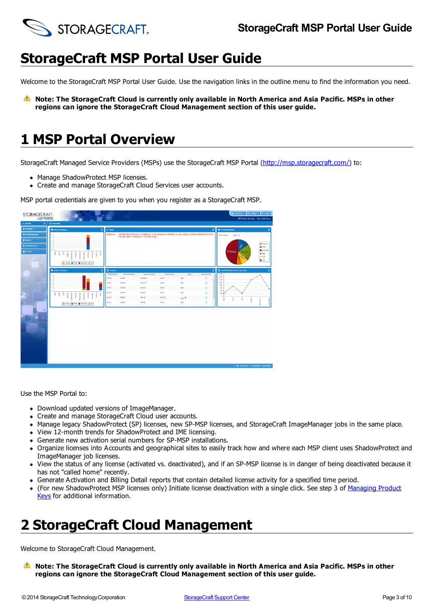

Welcome to the StorageCraft MSP Portal User Guide. Use the navigation links in the outline menu to find the information you need.

**Note: The StorageCraft Cloud is currently only available in North America and Asia Pacific. MSPs in other regions can ignore the StorageCraft Cloud Management section of this user guide.**

# <span id="page-2-0"></span>**1 MSP Portal Overview**

StorageCraft Managed Service Providers (MSPs) use the StorageCraft MSP Portal [\(http://msp.storagecraft.com/](http://msp.storagecraft.com/)) to:

- Manage ShadowProtect MSP licenses.
- Create and manage StorageCraft Cloud Services user accounts.

**STORAGECRAFT**  $\begin{minipage}{.4\linewidth} \centering \begin{tabular}{|c|c|c|} \hline \multicolumn{3}{|c|}{\textbf{error}} & \multicolumn{3}{|c|}{\textbf{error}} \\ \multicolumn{3}{|c|}{\textbf{error}} & \multicolumn{3}{|c|}{\textbf{error}} \\ \multicolumn{3}{|c|}{\textbf{error}} & \multicolumn{3}{|c|}{\textbf{error}} \\ \multicolumn{3}{|c|}{\textbf{error}} & \multicolumn{3}{|c|}{\textbf{error}} \\ \multicolumn{3}{|c|}{\textbf{matrix}} & \multicolumn{3}{|c|}{\textbf{error}} \\ \multicolumn{3}{|$ 

MSP portal credentials are given to you when you register as a StorageCraft MSP.

Use the MSP Portal to:

- Download updated versions of ImageManager.
- Create and manage StorageCraft Cloud user accounts.
- Manage legacy ShadowProtect (SP) licenses, new SP-MSP licenses, and StorageCraft ImageManager jobs in the same place.
- View 12-month trends for ShadowProtect and IME licensing.
- Generate new activation serial numbers for SP-MSP installations.
- Organize licenses into Accounts and geographical sites to easily track how and where each MSP client uses ShadowProtect and ImageManager job licenses.
- View the status of any license (activated vs. deactivated), and if an SP-MSP license is in danger of being deactivated because it has not "called home" recently.
- Generate Activation and Billing Detail reports that contain detailed license activity for a specified time period.
- (For new [ShadowProtect](#page-4-0) MSP licenses only) Initiate license deactivation with a single click. See step 3 of Managing Product Keys for additional information.

# <span id="page-2-1"></span>**2 StorageCraft Cloud Management**

Welcome to StorageCraft Cloud Management.

**Note: The StorageCraft Cloud is currently only available in North America and Asia Pacific. MSPs in other regions can ignore the StorageCraft Cloud Management section of this user guide.**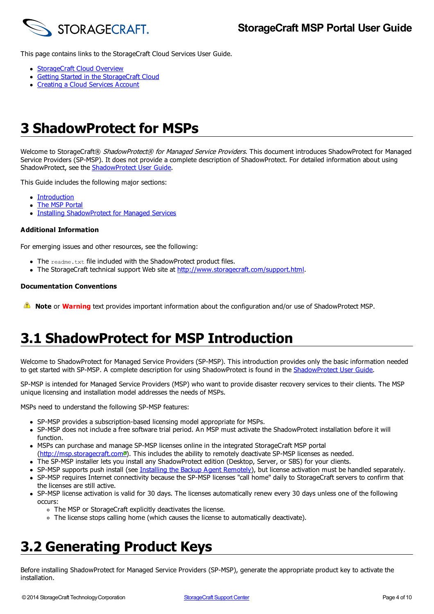

This page contains links to the StorageCraft Cloud Services User Guide.

- [StorageCraft](http://www.storagecraft.com/support/book/storagecraft-cloud-services-user-guide/cloud-services-getting-started) Cloud Overview
- Getting Started in the [StorageCraft](http://www.storagecraft.com/support/book/storagecraft-cloud-services-user-guide/storagecraft-cloud-getting-started) Cloud
- [Creating](http://www.storagecraft.com/support/book/storagecraft-cloud-services-user-guide/english/cloud-service-setup/creating-cloud-services) a Cloud Services Account

# <span id="page-3-0"></span>**3 ShadowProtect for MSPs**

Welcome to StorageCraft® ShadowProtect® for Managed Service Providers. This document introduces ShadowProtect for Managed Service Providers (SP-MSP). It does not provide a complete description of ShadowProtect. For detailed information about using [ShadowProtect](http://support.storagecraft.com/book/shadowprotect-user-guide-0), see the **ShadowProtect User Guide**.

This Guide includes the following major sections:

- [Introduction](#page-3-1)
- The MSP [Portal](#page-2-0)
- Installing [ShadowProtect](#page-6-0) for Managed Services  $\bullet$

#### **Additional Information**

For emerging issues and other resources, see the following:

- $\bullet$  The readme.txt file included with the ShadowProtect product files.
- The StorageCraft technical support Web site at <http://www.storagecraft.com/support.html>.

#### **Documentation Conventions**

**Note** or **Warning** text provides important information about the configuration and/or use of ShadowProtect MSP.

### <span id="page-3-1"></span>**3.1 ShadowProtect for MSP Introduction**

Welcome to ShadowProtect for Managed Service Providers (SP-MSP). This introduction provides only the basic information needed to get started with SP-MSP. A complete description for using [ShadowProtect](/support/node/15269) is found in the ShadowProtect User Guide.

SP-MSP is intended for Managed Service Providers (MSP) who want to provide disaster recovery services to their clients. The MSP unique licensing and installation model addresses the needs of MSPs.

MSPs need to understand the following SP-MSP features:

- SP-MSP provides a subscription-based licensing model appropriate for MSPs.
- SP-MSP does not include a free software trial period. An MSP must activate the ShadowProtect installation before it will function.
- MSPs can purchase and manage SP-MSP licenses online in the integrated StorageCraft MSP portal
- [\(http://msp.storagecraft.com](http://msp.storagecraft.com/)<sup>a</sup>). This includes the ability to remotely deactivate SP-MSP licenses as needed.
- The SP-MSP installer lets you install any ShadowProtect edition (Desktop, Server, or SBS) for your clients.
- SP-MSP supports push install (see Installing the Backup Agent [Remotely](/support/node/15335)), but license activation must be handled separately. SP-MSP requires Internet connectivity because the SP-MSP licenses "call home" daily to StorageCraft servers to confirm that
- the licenses are still active.
- SP-MSP license activation is valid for 30 days. The licenses automatically renew every 30 days unless one of the following occurs:
	- The MSP or StorageCraft explicitly deactivates the license.
	- The license stops calling home (which causes the license to automatically deactivate).

### <span id="page-3-2"></span>**3.2 Generating Product Keys**

Before installing ShadowProtect for Managed Service Providers (SP-MSP), generate the appropriate product key to activate the installation.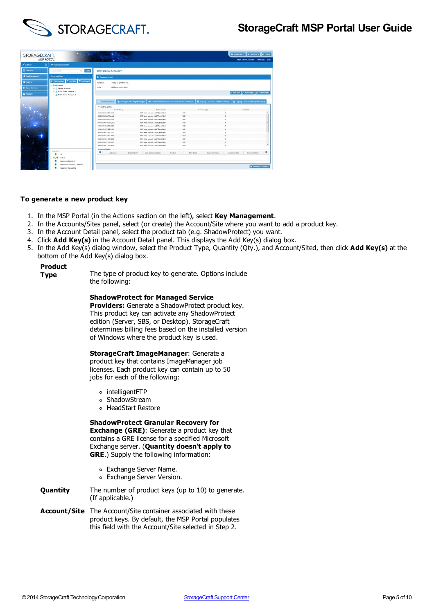

| STORAGECRAFT.            |                                                                                                       | ستا                                       |                                                |                  |                                          |                          | A Resources . O, Settings . 6 Logout     |   |
|--------------------------|-------------------------------------------------------------------------------------------------------|-------------------------------------------|------------------------------------------------|------------------|------------------------------------------|--------------------------|------------------------------------------|---|
| <b>MSP PORTAL</b>        |                                                                                                       |                                           |                                                |                  |                                          |                          | <b>MSP Demo Account User: MSP Demo</b>   |   |
| $\bullet$<br>$f$ Actions | <b>A</b> Key Monogement                                                                               |                                           |                                                |                  |                                          |                          |                                          |   |
| <b>B</b> Overview        | $Q$ Clear<br>Key Sourch:                                                                              | <b>MSP Demo Account 1</b>                 |                                                |                  |                                          |                          |                                          |   |
| Je Key Management        | <b>Accounts/Sites</b>                                                                                 | <b>2.</b> Account Detail                  |                                                |                  |                                          |                          |                                          |   |
| <b>B</b> Reports         | <b>F AREACCOURT &amp; ADS SIDE ARE KEYOU</b>                                                          | Address:<br>11850 S. Election Rd.         |                                                |                  |                                          |                          |                                          |   |
| <b>Ph</b> Cloud Services | M. Accounts<br><sup>11</sup> Petuit Account                                                           | Add your nates here.<br>Note:             |                                                |                  |                                          |                          |                                          |   |
| <b>Account</b>           | E. A. MSP Demo Account 1<br>A MSP Derro Account 2                                                     |                                           |                                                |                  |                                          |                          | And Ste B Add Key(s) # Edit Account      |   |
|                          |                                                                                                       | ShafowProtect C StorageCraft ImageManager | ShadowProtect Granular Recovery for Exchange   |                  | <b>B</b> Legacy Licenses (ShadowProtect) |                          | <b>Ca</b> Legacy Licenses (ImageManager) |   |
|                          |                                                                                                       | Product Key Details<br><b>Product Key</b> | Accountlike                                    |                  | License Type                             |                          | Licenses                                 |   |
|                          |                                                                                                       | XXXX-XXXX-6880-FD1D                       | INSP Demo Account 1/MSP Demo Site 1            | <b>use</b>       |                                          |                          |                                          |   |
|                          |                                                                                                       | XXXX-XXXX-8C69-1444                       | <b>MSP Demo Account 1MSP Demo Sta 1</b>        | up               |                                          |                          |                                          |   |
|                          |                                                                                                       | XXXX-XXXX-805T-94CS                       | IISP Damo Account 1/MSP Damo Site 1            | M2P              |                                          |                          |                                          |   |
|                          |                                                                                                       | XXXXXXXXXXXXXXXXXX                        | 925P Demo Account: 1/MSP Demo Site 1.          | Mith             |                                          |                          |                                          |   |
|                          |                                                                                                       | SCIENTIFICATION AREN'S                    | MSP Dame Account: 1/MSP Dame Site 1            | use              |                                          |                          |                                          |   |
|                          |                                                                                                       | 30006-30006-7800-CC91                     | <b>INSP Demo Account 1/MSP Demo Site 1</b>     | <b>MSP</b>       |                                          | $\overline{\phantom{a}}$ |                                          |   |
|                          |                                                                                                       | XXXX-XXXX-75AB-2877                       | STSP Denis Account: 1845P Denis Site 1.        | MSP              |                                          |                          |                                          |   |
|                          |                                                                                                       | XXXX-XXXX-708A-268D                       | <b>IISP Demo Account 18/5P Demo Site 1</b>     | MSD <sub>1</sub> |                                          |                          |                                          |   |
|                          |                                                                                                       | XXXX-XXXXX-7183-78CD                      | 85P Demo Account 1889 Demo Site 1              | <b>Mid-</b>      |                                          |                          |                                          |   |
|                          |                                                                                                       | XXXX-XXXX-71AB-D4C3                       | MSP Demo Account 1MSP Demo Site 1              | upp              |                                          |                          |                                          |   |
| ٠                        |                                                                                                       | VIDOL/GOOL/HIML0RNL                       | MSD Damn Arrestoff 18852 Damn Site 1           | uto.             |                                          |                          |                                          |   |
|                          | Legend                                                                                                | Adjustion Details                         |                                                |                  |                                          |                          |                                          |   |
|                          | OK.                                                                                                   | Activated                                 | Deactivation*<br>Last Communication<br>Product | <b>MSP Harne</b> | Customer Name                            | Computer Role            | Computer Hame                            | ٠ |
|                          | Critical<br>Deactivated/Deactivate<br>Deactivation requested - atil active<br>Reactivate this machine |                                           |                                                |                  |                                          |                          | <b>El Activatos Surveary</b>             |   |

#### **To generate a new product key**

- 1. In the MSP Portal (in the Actions section on the left), select **Key Management**.
- 2. In the Accounts/Sites panel, select (or create) the Account/Site where you want to add a product key.
- 3. In the Account Detail panel, select the product tab (e.g. ShadowProtect) you want.
- 4. Click **Add Key(s)** in the Account Detail panel. This displays the Add Key(s) dialog box.
- 5. In the Add Key(s) dialog window, select the Product Type, Quantity (Qty.), and Account/Sited, then click **Add Key(s)** at the bottom of the Add Key(s) dialog box.

## **Product**

The type of product key to generate. Options include the following:

#### **ShadowProtect for Managed Service**

**Providers:** Generate a ShadowProtect product key. This product key can activate any ShadowProtect edition (Server, SBS, or Desktop). StorageCraft determines billing fees based on the installed version of Windows where the product key is used.

#### **StorageCraft ImageManager**: Generate a

product key that contains ImageManager job licenses. Each product key can contain up to 50 jobs for each of the following:

- intelligentFTP
- ShadowStream
- HeadStart Restore

#### **ShadowProtect Granular Recovery for**

**Exchange (GRE)**: Generate a product key that contains a GRE license for a specified Microsoft Exchange server. (**Quantity doesn't apply to GRE**.) Supply the following information:

- Exchange Server Name.
- Exchange Server Version.
- **Quantity** The number of product keys (up to 10) to generate. (If applicable.)
- <span id="page-4-0"></span>**Account/Site** The Account/Site container associated with these product keys. By default, the MSP Portal populates this field with the Account/Site selected in Step 2.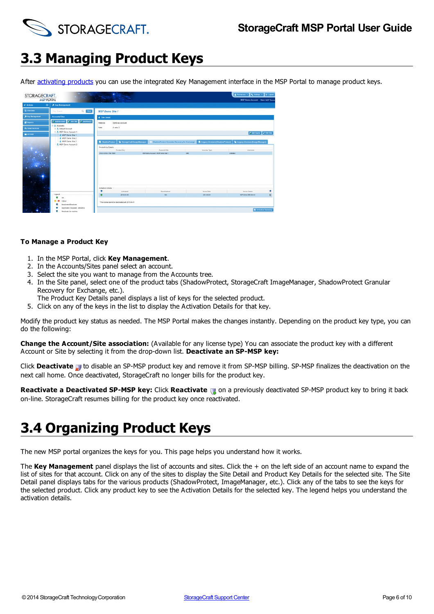

# <span id="page-5-0"></span>**3.3 Managing Product Keys**

After [activating](/support/node/12380) products you can use the integrated Key Management interface in the MSP Portal to manage product keys.

| STORAGECRAFT.<br><b>MSP PORTAL</b> |                                                                       | <b>COMMA</b>                                                                                                                                  |                                                                                                    |                                  | A Resources . Q, Settings . B Logout<br><b>NSP Demo Account</b> User: MSP Demo                    |
|------------------------------------|-----------------------------------------------------------------------|-----------------------------------------------------------------------------------------------------------------------------------------------|----------------------------------------------------------------------------------------------------|----------------------------------|---------------------------------------------------------------------------------------------------|
| $\bullet$<br>$f$ Actions           | * Key Hanagement                                                      |                                                                                                                                               |                                                                                                    |                                  |                                                                                                   |
| <b>D</b> Overview                  | $Q_1$ Cease<br>Key Search                                             | <b>MSP Demo Site 1</b>                                                                                                                        |                                                                                                    |                                  |                                                                                                   |
| <b>Je Key Management</b>           | <b>AccountdSites</b>                                                  | <b>E</b> Site Detail                                                                                                                          |                                                                                                    |                                  |                                                                                                   |
| <b>III</b> Reports                 | <b>Z. ASEACCOURT &amp; ARE STE   Z: ASEKOSIS)</b>                     | Address:<br>Same as account.                                                                                                                  |                                                                                                    |                                  |                                                                                                   |
| <b>B</b> Cloud Services            | St. Accounts<br>2. Default Account                                    | A note 2.<br>Note:                                                                                                                            |                                                                                                    |                                  |                                                                                                   |
| <b>C</b> Account                   | - 3. MSP Demo Account 1<br>MSP Damo Site 1                            |                                                                                                                                               |                                                                                                    |                                  | 27 Add Keyta) # Edit Site                                                                         |
| ٠.<br><b>CALL AND</b>              | MSP Damo Site 2<br>MSP Demo Site 3<br>2. MSP Demo Account 2           | <b>StorageCraft ImageManager</b><br><b>5</b> ShadowProtect<br>Product Key Details<br>Product Key<br>XXXX-XXXXX-1792-7805<br>Actuation Details | ShadowProtect Granular Recovery for Exchange<br>Account/Site<br>MSP Demo Account 1445P Demo Site 1 | License Type<br><b>GRE</b>       | <b>5</b> Leoncy Licenses (ShadowProtect) Q Leoncy Licenses (ImageManager)<br>Licenses<br>Unimited |
|                                    | Legend<br>rw.<br>Citical<br>Deachrated/Deachrate                      | Activated<br>2014-04-04<br>This license cannot be deach ated anti 2015-04-01                                                                  | Dearthuriant<br>N/L                                                                                | <b>Januar Date</b><br>2014-04-04 | ٠<br>Server Name<br>$\blacksquare$<br>MSP Demo ORE Server                                         |
|                                    | Deachration requested - still active<br><b>Faschrate this machine</b> |                                                                                                                                               |                                                                                                    |                                  | <b>Si</b> Activation Summary                                                                      |

#### **To Manage a Product Key**

- 1. In the MSP Portal, click **Key Management**.
- 2. In the Accounts/Sites panel select an account.
- 3. Select the site you want to manage from the Accounts tree.
- 4. In the Site panel, select one of the product tabs (ShadowProtect, StorageCraft ImageManager, ShadowProtect Granular Recovery for Exchange, etc.).
	- The Product Key Details panel displays a list of keys for the selected product.
- 5. Click on any of the keys in the list to display the Activation Details for that key.

Modify the product key status as needed. The MSP Portal makes the changes instantly. Depending on the product key type, you can do the following:

**Change the Account/Site association:** (Available for any license type) You can associate the product key with a different Account or Site by selecting it from the drop-down list. **Deactivate an SP-MSP key:**

Click **Deactivate to** disable an SP-MSP product key and remove it from SP-MSP billing. SP-MSP finalizes the deactivation on the next call home. Once deactivated, StorageCraft no longer bills for the product key.

**Reactivate a Deactivated SP-MSP key:** Click **Reactivate** on a previously deactivated SP-MSP product key to bring it back on-line. StorageCraft resumes billing for the product key once reactivated.

### <span id="page-5-1"></span>**3.4 Organizing Product Keys**

The new MSP portal organizes the keys for you. This page helps you understand how it works.

The **Key Management** panel displays the list of accounts and sites. Click the + on the left side of an account name to expand the list of sites for that account. Click on any of the sites to display the Site Detail and Product Key Details for the selected site. The Site Detail panel displays tabs for the various products (ShadowProtect, ImageManager, etc.). Click any of the tabs to see the keys for the selected product. Click any product key to see the Activation Details for the selected key. The legend helps you understand the activation details.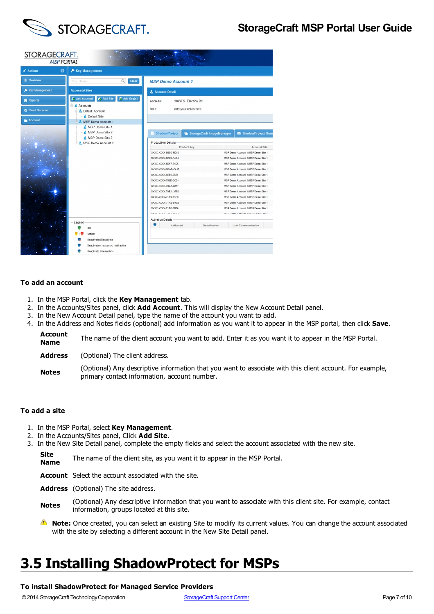

| STORAGECRAFT.<br><b>MSP PORTAL</b> |                                                                                             |                                                           |                                                                          |  |  |  |
|------------------------------------|---------------------------------------------------------------------------------------------|-----------------------------------------------------------|--------------------------------------------------------------------------|--|--|--|
| $\angle$ Actions<br>O              | Key Management                                                                              |                                                           |                                                                          |  |  |  |
| <b>图 Overview</b>                  | Clear<br>$\hbox{\ensuremath{\mathsf{Q}}\xspace}$<br>Key Search:                             | <b>MSP Demo Account 1</b>                                 |                                                                          |  |  |  |
| <b>S</b> Key Management            | <b>Accounts/Sites</b>                                                                       | <b>Account Detail</b>                                     |                                                                          |  |  |  |
| <b>目 Reports</b>                   | Add Site<br><b>2. Add Account</b><br>Add Key(s)                                             | 11850 S. Election Rd.<br>Address:                         |                                                                          |  |  |  |
| Cloud Services                     | & Accounts<br>Default Account                                                               | Add your notes here.<br>Note:                             |                                                                          |  |  |  |
| <b>Account</b>                     | <b>Default Site</b><br>- MSP Demo Account 1<br>MSP Demo Site 1<br>MSP Demo Site 2           | StorageCraft ImageManager<br><b>ShadowProtect</b>         | ShadowProtect Gran                                                       |  |  |  |
|                                    | MSP Demo Site 3<br>MSP Demo Account 2                                                       | Product Key Details<br>Product Key<br>XXXX-XXXX-6BB0-FD1D | Account/Site<br>MSP Demo Account 1/MSP Demo Site 1                       |  |  |  |
|                                    |                                                                                             | XXXX-XXXX-6C69-14A4                                       | MSP Demo Account 1/MSP Demo Site 1                                       |  |  |  |
|                                    |                                                                                             | XXXX-XXXX-6D57-94C5                                       | MSP Demo Account 1/MSP Demo Site 1                                       |  |  |  |
|                                    |                                                                                             | XXXX-XXXX-6DAD-C012                                       | MSP Demo Account 1/MSP Demo Site 1                                       |  |  |  |
|                                    |                                                                                             | XXXX-XXXX-6EB0-9626                                       | MSP Demo Account 1/MSP Demo Site 1                                       |  |  |  |
|                                    |                                                                                             | XXXX-XXXXX-700D-CC01                                      | MSP Demo Account 1/MSP Demo Site 1                                       |  |  |  |
|                                    |                                                                                             | XXXX-XXXX-70A8-2877                                       | MSP Demo Account 1/MSP Demo Site 1                                       |  |  |  |
|                                    |                                                                                             | XXXX-XXXX-70BA-268D                                       | MSP Demo Account 1/MSP Demo Site 1                                       |  |  |  |
|                                    |                                                                                             | XXXX-XXXX-7183-78CD                                       | MSP Demo Account 1/MSP Demo Site 1                                       |  |  |  |
|                                    |                                                                                             | XXXX-XXXX-71A8-D4C3<br>XXXX-XXXX-71B8-2B36                | MSP Demo Account 1/MSP Demo Site 1<br>MSP Demo Account 1/MSP Demo Site 1 |  |  |  |
|                                    |                                                                                             | <b>VIVIAL VIRAL SAJA JPAS</b>                             | 1100 Bang Assembla (1100 Bang Paul 4                                     |  |  |  |
|                                    |                                                                                             | <b>Activation Details</b>                                 |                                                                          |  |  |  |
|                                    | Legend<br>OK<br>Critical<br>Deactivated/Deactivate<br>Deactivation requested - still active | Activated<br>Deactivation*                                | <b>Last Communication</b>                                                |  |  |  |
|                                    | Reactivate this machine                                                                     |                                                           |                                                                          |  |  |  |

#### **To add an account**

- 1. In the MSP Portal, click the **Key Management** tab.
- 2. In the Accounts/Sites panel, click **Add Account**. This will display the New Account Detail panel.
- 3. In the New Account Detail panel, type the name of the account you want to add.
- 4. In the Address and Notes fields (optional) add information as you want it to appear in the MSP portal, then click **Save**.

**Account Name** The name of the client account you want to add. Enter it as you want it to appear in the MSP Portal.

Address (Optional) The client address.

**Notes** (Optional) Any descriptive information that you want to associate with this client account. For example, primary contact information, account number.

#### **To add a site**

- 1. In the MSP Portal, select **Key Management**.
- 2. In the Accounts/Sites panel, Click **Add Site**.
- 3. In the New Site Detail panel, complete the empty fields and select the account associated with the new site.

**Site Name** The name of the client site, as you want it to appear in the MSP Portal.

**Account** Select the account associated with the site.

- **Address** (Optional) The site address.
- **Notes** (Optional) Any descriptive information that you want to associate with this client site. For example, contact information, groups located at this site.
- **Note:** Once created, you can select an existing Site to modify its current values. You can change the account associated with the site by selecting a different account in the New Site Detail panel.

# <span id="page-6-0"></span>**3.5 Installing ShadowProtect for MSPs**

#### **To install ShadowProtect for Managed Service Providers**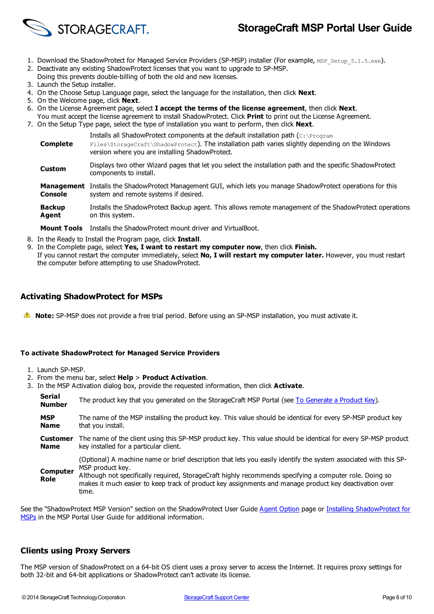

- 1. Download the ShadowProtect for Managed Service Providers (SP-MSP) installer (For example, MSP\_Setup\_5.1.5.exe).
- 2. Deactivate any existing ShadowProtect licenses that you want to upgrade to SP-MSP.
- Doing this prevents double-billing of both the old and new licenses.
- 3. Launch the Setup installer.
- 4. On the Choose Setup Language page, select the language for the installation, then click **Next**.
- 5. On the Welcome page, click **Next**.
- 6. On the License Agreement page, select **I accept the terms of the license agreement**, then click **Next**.
- You must accept the license agreement to install ShadowProtect. Click **Print** to print out the License Agreement. 7. On the Setup Type page, select the type of installation you want to perform, then click **Next**.
	- **Complete** Installs all ShadowProtect components at the default installation path (C:\Program Files\StorageCraft\ShadowProtect). The installation path varies slightly depending on the Windows version where you are installing ShadowProtect. **Custom** Displays two other Wizard pages that let you select the installation path and the specific ShadowProtect components to install. **Management** Installs the ShadowProtect Management GUI, which lets you manage ShadowProtect operations for this **Console** system and remote systems if desired.
		- **Backup Agent** Installs the ShadowProtect Backup agent. This allows remote management of the ShadowProtect operations on this system.
	- **Mount Tools** Installs the ShadowProtect mount driver and VirtualBoot.
- 8. In the Ready to Install the Program page, click **Install**.
- 9. In the Complete page, select **Yes, I want to restart my computer now**, then click **Finish.**
	- If you cannot restart the computer immediately, select **No, I will restart my computer later.** However, you must restart the computer before attempting to use ShadowProtect.

#### **Activating ShadowProtect for MSPs**

**Note:** SP-MSP does not provide a free trial period. Before using an SP-MSP installation, you must activate it.

#### **To activate ShadowProtect for Managed Service Providers**

- 1. Launch SP-MSP.
- 2. From the menu bar, select **Help** > **Product Activation**.
- 3. In the MSP Activation dialog box, provide the requested information, then click **Activate**.

**Serial Number** The product key that you generated on the StorageCraft MSP Portal (see To [Generate](#page-3-2) a Product Key). **MSP Name** The name of the MSP installing the product key. This value should be identical for every SP-MSP product key that you install.

**Customer Name** The name of the client using this SP-MSP product key. This value should be identical for every SP-MSP product key installed for a particular client.

(Optional) A machine name or brief description that lets you easily identify the system associated with this SP-MSP product key.

**Computer Role** Although not specifically required, StorageCraft highly recommends specifying a computer role. Doing so makes it much easier to keep track of product key assignments and manage product key deactivation over time.

See the ["ShadowProtect](#page-6-0) MSP Version" section on the ShadowProtect User Guide Agent [Option](/support/node/18952) page or Installing ShadowProtect for MSPs in the MSP Portal User Guide for additional information.

#### **Clients using Proxy Servers**

The MSP version of ShadowProtect on a 64-bit OS client uses a proxy server to access the Internet. It requires proxy settings for both 32-bit and 64-bit applications or ShadowProtect can't activate its license.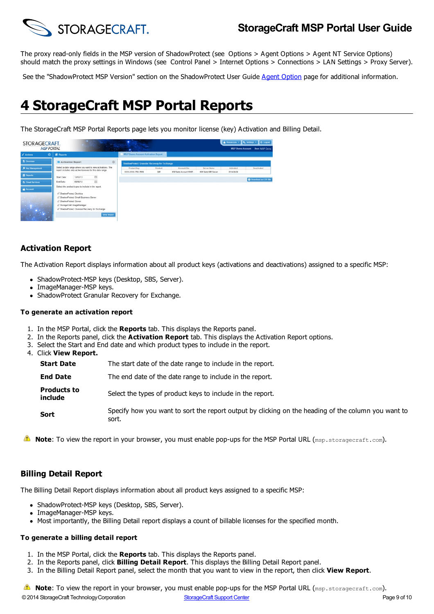

The proxy read-only fields in the MSP version of ShadowProtect (see Options > Agent Options > Agent NT Service Options) should match the proxy settings in Windows (see Control Panel > Internet Options > Connections > LAN Settings > Proxy Server).

See the "ShadowProtect MSP Version" section on the ShadowProtect User Guide Agent [Option](/support/node/18952) page for additional information.

## <span id="page-8-0"></span>**4 StorageCraft MSP Portal Reports**

The StorageCraft MSP Portal Reports page lets you monitor license (key) Activation and Billing Detail.

| STORAGECRAFT.<br><b>MSP PORTAL</b> |                    |                                                                                                                   | <b>COLLE</b><br><b>September</b>                            | <b>Simple</b>                                |         |                        |                             | <b>MSP Demo Account</b> | & Resources + 0, Settings + 0 + Logost<br><b>User: MSP Demo</b> |
|------------------------------------|--------------------|-------------------------------------------------------------------------------------------------------------------|-------------------------------------------------------------|----------------------------------------------|---------|------------------------|-----------------------------|-------------------------|-----------------------------------------------------------------|
| $\leq$ Actions<br>$\bullet$        | <b>III</b> Reports |                                                                                                                   |                                                             | <b>MSP Demo Account Activation Report</b>    |         |                        |                             |                         |                                                                 |
| 图 Overview                         |                    | <b>E</b> Activation Report                                                                                        | $\circ$                                                     | ShadowProtect Granular Recovery for Exchange |         |                        |                             |                         |                                                                 |
| <b>A</b> Key Management            |                    |                                                                                                                   | Select a date range where you want to view activations. The | Product Key                                  | Product | Account/Site           | Server Ilame                | Activated               | Deactivated                                                     |
|                                    |                    |                                                                                                                   | report includes only active licenses for this date range.   | 30006-30006-1792-7809                        | GRE     | MSP Demp Account 1/MSP | <b>IISP Demo GRE Server</b> | 2014-04-04              |                                                                 |
| <b>B</b> Reports                   | Start Date:        | 12/02/13                                                                                                          | 皿                                                           |                                              |         |                        |                             |                         |                                                                 |
| A Cloud Services                   | End Date:          | 06/06/14                                                                                                          | 皿                                                           |                                              |         |                        |                             |                         | C Download as CSV file                                          |
| <b>M</b> Account                   |                    | Select the product types to include in the report.                                                                |                                                             |                                              |         |                        |                             |                         |                                                                 |
|                                    |                    | ShadowProtect Desktop<br>ShadowProtect Small Business Server<br>ShadowProtect Server<br>StorageCraft ImageManager | ShadowProtect Granular Recovery for Exchange                |                                              |         |                        |                             |                         |                                                                 |
|                                    |                    |                                                                                                                   | <b>View Report</b>                                          |                                              |         |                        |                             |                         |                                                                 |

### **Activation Report**

The Activation Report displays information about all product keys (activations and deactivations) assigned to a specific MSP:

- ShadowProtect-MSP keys (Desktop, SBS, Server).
- ImageManager-MSP keys.
- ShadowProtect Granular Recovery for Exchange.

#### **To generate an activation report**

- 1. In the MSP Portal, click the **Reports** tab. This displays the Reports panel.
- 2. In the Reports panel, click the **Activation Report** tab. This displays the Activation Report options.
- 3. Select the Start and End date and which product types to include in the report.
- 4. Click **View Report.**

| Start Date | The start date of the date range to include in the report. |
|------------|------------------------------------------------------------|
|------------|------------------------------------------------------------|

**End Date** The end date of the date range to include in the report.

**Products to include** Select the types of product keys to include in the report.

- **Sort** Specify how you want to sort the report output by clicking on the heading of the column you want to sort.
- **A Note**: To view the report in your browser, you must enable pop-ups for the MSP Portal URL (msp.storagecraft.com).

#### **Billing Detail Report**

The Billing Detail Report displays information about all product keys assigned to a specific MSP:

- ShadowProtect-MSP keys (Desktop, SBS, Server).
- ImageManager-MSP keys.
- Most importantly, the Billing Detail report displays a count of billable licenses for the specified month.

#### **To generate a billing detail report**

- 1. In the MSP Portal, click the **Reports** tab. This displays the Reports panel.
- 2. In the Reports panel, click **Billing Detail Report**. This displays the Billing Detail Report panel.
- 3. In the Billing Detail Report panel, select the month that you want to view in the report, then click **View Report**.

**Note:** To view the report in your browser, you must enable pop-ups for the MSP Portal URL (msp.storagecraft.com).